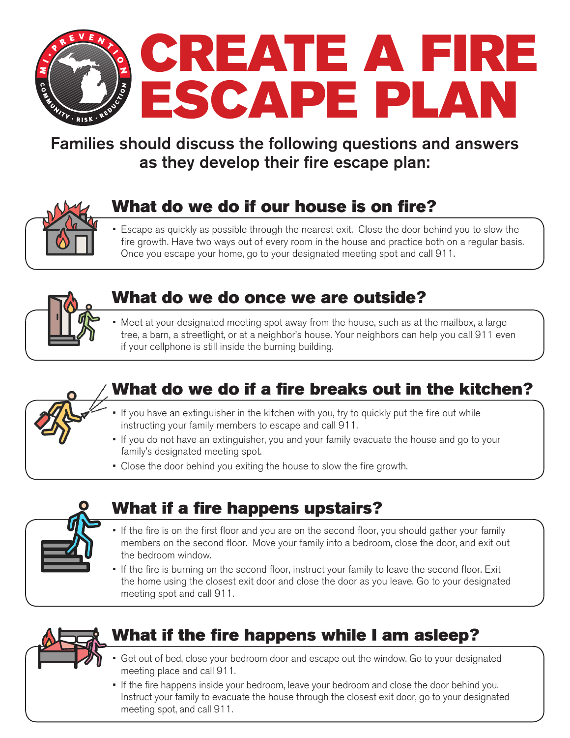

#### Families should discuss the following questions and answers as they develop their fire escape plan:



## What do we do if our house is on fire?

• Escape as quickly as possible through the nearest exit. Close the door behind you to slow the fire growth. Have two ways out of every room in the house and practice both on a regular basis. Once you escape your home, go to your designated meeting spot and call 911.



#### What do we do once we are outside?

• Meet at your designated meeting spot away from the house, such as at the mailbox, a large tree, a barn, a streetlight, or at a neighbor's house. Your neighbors can help you call 911 even if your cellphone is still inside the burning building.



#### What do we do if a fire breaks out in the kitchen?

- If you have an extinguisher in the kitchen with you, try to quickly put the fire out while instructing your family members to escape and call 911.
- If you do not have an extinguisher, you and your family evacuate the house and go to your family's designated meeting spot.
- Close the door behind you exiting the house to slow the fire growth.



#### What if a fire happens upstairs?

- If the fire is on the first floor and you are on the second floor, you should gather your family members on the second floor. Move your family into a bedroom, close the door, and exit out the bedroom window.
- If the fire is burning on the second floor, instruct your family to leave the second floor. Exit the home using the closest exit door and close the door as you leave. Go to your designated meeting spot and call 911.



## What if the fire happens while I am asleep?

- Get out of bed, close your bedroom door and escape out the window. Go to your designated meeting place and call 911.
- If the fire happens inside your bedroom, leave your bedroom and close the door behind you. Instruct your family to evacuate the house through the closest exit door, go to your designated meeting spot, and call 911.